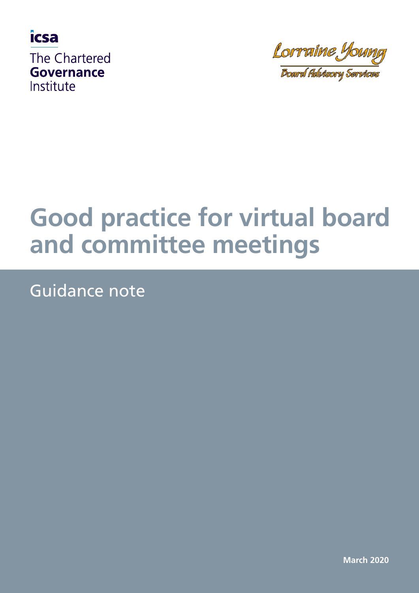

Lorraine Young

**Board Advisory Services** 

# **Good practice for virtual board and committee meetings**

Guidance note

**March 2020**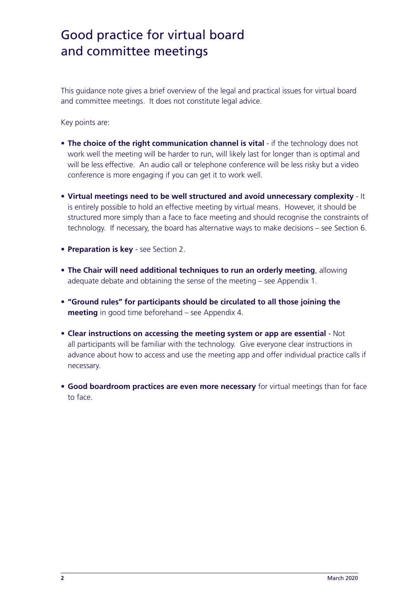This guidance note gives a brief overview of the legal and practical issues for virtual board and committee meetings. It does not constitute legal advice.

Key points are:

- The choice of the right communication channel is vital if the technology does not work well the meeting will be harder to run, will likely last for longer than is optimal and will be less effective. An audio call or telephone conference will be less risky but a video conference is more engaging if you can get it to work well.
- **• Virtual meetings need to be well structured and avoid unnecessary complexity** It is entirely possible to hold an effective meeting by virtual means. However, it should be structured more simply than a face to face meeting and should recognise the constraints of technology. If necessary, the board has alternative ways to make decisions – see Section 6.
- **• Preparation is key** see Section 2.
- **• The Chair will need additional techniques to run an orderly meeting**, allowing adequate debate and obtaining the sense of the meeting – see Appendix 1.
- **• "Ground rules" for participants should be circulated to all those joining the meeting** in good time beforehand – see Appendix 4.
- **• Clear instructions on accessing the meeting system or app are essential**  Not all participants will be familiar with the technology. Give everyone clear instructions in advance about how to access and use the meeting app and offer individual practice calls if necessary.
- **• Good boardroom practices are even more necessary** for virtual meetings than for face to face.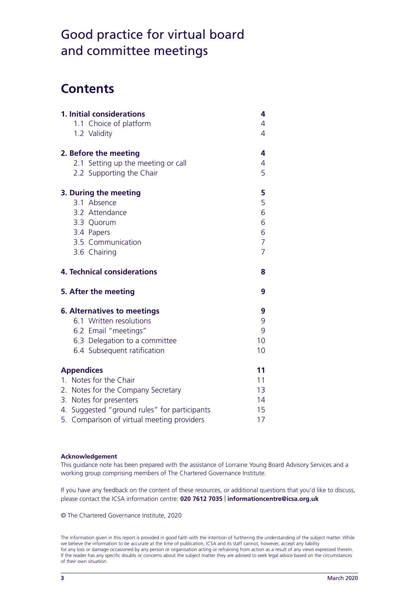### **Contents**

| 1. Initial considerations<br>1.1 Choice of platform<br>1.2 Validity                                                                                                                                        | 4<br>4<br>$\overline{4}$                                  |
|------------------------------------------------------------------------------------------------------------------------------------------------------------------------------------------------------------|-----------------------------------------------------------|
| 2. Before the meeting<br>2.1 Setting up the meeting or call<br>2.2 Supporting the Chair                                                                                                                    | 4<br>$\overline{4}$<br>5                                  |
| 3. During the meeting<br>3.1 Absence<br>3.2 Attendance<br>3.3 Quorum<br>3.4 Papers<br>3.5 Communication<br>3.6 Chairing                                                                                    | 5<br>5<br>6<br>6<br>6<br>$\overline{7}$<br>$\overline{7}$ |
| <b>4. Technical considerations</b>                                                                                                                                                                         | 8                                                         |
| 5. After the meeting                                                                                                                                                                                       | 9                                                         |
| <b>6. Alternatives to meetings</b><br>6.1 Written resolutions<br>6.2 Email "meetings"<br>6.3 Delegation to a committee<br>6.4 Subsequent ratification                                                      | 9<br>9<br>9<br>10 <sup>°</sup><br>10                      |
| <b>Appendices</b><br>1. Notes for the Chair<br>2. Notes for the Company Secretary<br>3. Notes for presenters<br>4. Suggested "ground rules" for participants<br>5. Comparison of virtual meeting providers | 11<br>11<br>13<br>14<br>15 <sub>1</sub><br>17             |

#### **Acknowledgement**

This guidance note has been prepared with the assistance of Lorraine Young Board Advisory Services and a working group comprising members of The Chartered Governance Institute.

If you have any feedback on the content of these resources, or additional questions that you'd like to discuss, please contact the ICSA information centre: **020 7612 7035** | **informationcentre@icsa.org.uk**

© The Chartered Governance Institute, 2020

The information given in this report is provided in good faith with the intention of furthering the understanding of the subject matter. While we believe the information to be accurate at the time of publication, ICSA and its staff cannot, however, accept any liability for any loss or damage occasioned by any person or organisation acting or refraining from action as a result of any views expressed therein. If the reader has any specific doubts or concerns about the subject matter they are advised to seek legal advice based on the circumstances of their own situation.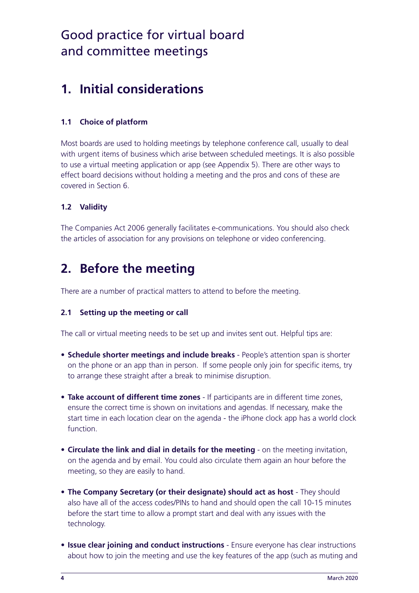### **1. Initial considerations**

#### **1.1 Choice of platform**

Most boards are used to holding meetings by telephone conference call, usually to deal with urgent items of business which arise between scheduled meetings. It is also possible to use a virtual meeting application or app (see Appendix 5). There are other ways to effect board decisions without holding a meeting and the pros and cons of these are covered in Section 6.

#### **1.2 Validity**

The Companies Act 2006 generally facilitates e-communications. You should also check the articles of association for any provisions on telephone or video conferencing.

### **2. Before the meeting**

There are a number of practical matters to attend to before the meeting.

#### **2.1 Setting up the meeting or call**

The call or virtual meeting needs to be set up and invites sent out. Helpful tips are:

- **• Schedule shorter meetings and include breaks** People's attention span is shorter on the phone or an app than in person. If some people only join for specific items, try to arrange these straight after a break to minimise disruption.
- **• Take account of different time zones** If participants are in different time zones, ensure the correct time is shown on invitations and agendas. If necessary, make the start time in each location clear on the agenda - the iPhone clock app has a world clock function.
- **• Circulate the link and dial in details for the meeting** on the meeting invitation, on the agenda and by email. You could also circulate them again an hour before the meeting, so they are easily to hand.
- **• The Company Secretary (or their designate) should act as host** They should also have all of the access codes/PINs to hand and should open the call 10-15 minutes before the start time to allow a prompt start and deal with any issues with the technology.
- **• Issue clear joining and conduct instructions** Ensure everyone has clear instructions about how to join the meeting and use the key features of the app (such as muting and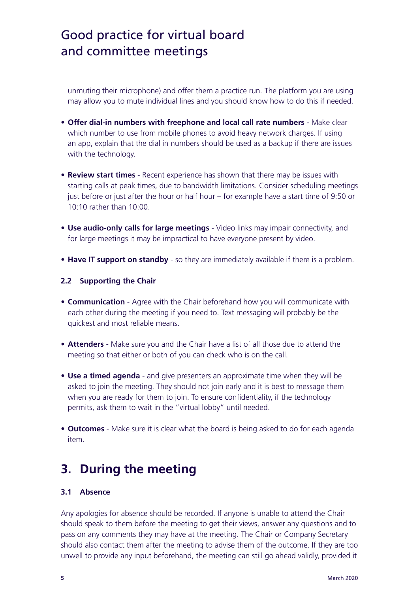unmuting their microphone) and offer them a practice run. The platform you are using may allow you to mute individual lines and you should know how to do this if needed.

- **• Offer dial-in numbers with freephone and local call rate numbers** Make clear which number to use from mobile phones to avoid heavy network charges. If using an app, explain that the dial in numbers should be used as a backup if there are issues with the technology.
- **• Review start times** Recent experience has shown that there may be issues with starting calls at peak times, due to bandwidth limitations. Consider scheduling meetings just before or just after the hour or half hour – for example have a start time of 9:50 or 10:10 rather than 10:00.
- **• Use audio-only calls for large meetings** Video links may impair connectivity, and for large meetings it may be impractical to have everyone present by video.
- **• Have IT support on standby** so they are immediately available if there is a problem.

#### **2.2 Supporting the Chair**

- **• Communication** Agree with the Chair beforehand how you will communicate with each other during the meeting if you need to. Text messaging will probably be the quickest and most reliable means.
- **• Attenders** Make sure you and the Chair have a list of all those due to attend the meeting so that either or both of you can check who is on the call.
- **• Use a timed agenda** and give presenters an approximate time when they will be asked to join the meeting. They should not join early and it is best to message them when you are ready for them to join. To ensure confidentiality, if the technology permits, ask them to wait in the "virtual lobby" until needed.
- **• Outcomes** Make sure it is clear what the board is being asked to do for each agenda item.

### **3. During the meeting**

#### **3.1 Absence**

Any apologies for absence should be recorded. If anyone is unable to attend the Chair should speak to them before the meeting to get their views, answer any questions and to pass on any comments they may have at the meeting. The Chair or Company Secretary should also contact them after the meeting to advise them of the outcome. If they are too unwell to provide any input beforehand, the meeting can still go ahead validly, provided it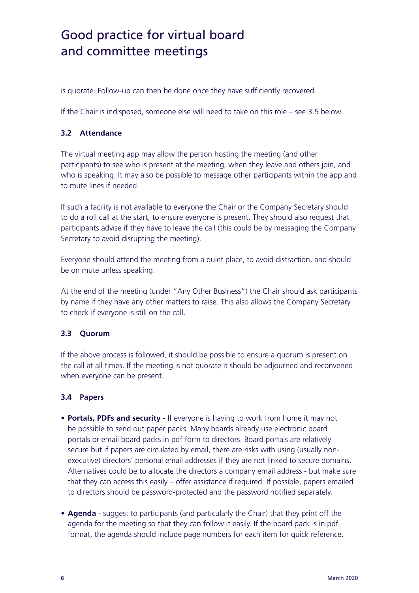is quorate. Follow-up can then be done once they have sufficiently recovered.

If the Chair is indisposed, someone else will need to take on this role – see 3.5 below.

#### **3.2 Attendance**

The virtual meeting app may allow the person hosting the meeting (and other participants) to see who is present at the meeting, when they leave and others join, and who is speaking. It may also be possible to message other participants within the app and to mute lines if needed.

If such a facility is not available to everyone the Chair or the Company Secretary should to do a roll call at the start, to ensure everyone is present. They should also request that participants advise if they have to leave the call (this could be by messaging the Company Secretary to avoid disrupting the meeting).

Everyone should attend the meeting from a quiet place, to avoid distraction, and should be on mute unless speaking.

At the end of the meeting (under "Any Other Business") the Chair should ask participants by name if they have any other matters to raise. This also allows the Company Secretary to check if everyone is still on the call.

#### **3.3 Quorum**

If the above process is followed, it should be possible to ensure a quorum is present on the call at all times. If the meeting is not quorate it should be adjourned and reconvened when everyone can be present.

#### **3.4 Papers**

- **• Portals, PDFs and security**  If everyone is having to work from home it may not be possible to send out paper packs. Many boards already use electronic board portals or email board packs in pdf form to directors. Board portals are relatively secure but if papers are circulated by email, there are risks with using (usually nonexecutive) directors' personal email addresses if they are not linked to secure domains. Alternatives could be to allocate the directors a company email address - but make sure that they can access this easily – offer assistance if required. If possible, papers emailed to directors should be password-protected and the password notified separately.
- **• Agenda** suggest to participants (and particularly the Chair) that they print off the agenda for the meeting so that they can follow it easily. If the board pack is in pdf format, the agenda should include page numbers for each item for quick reference.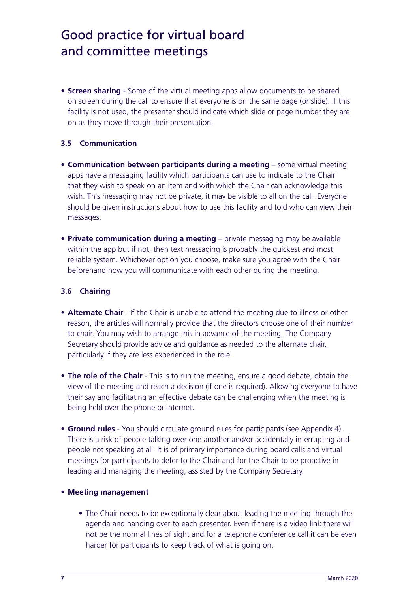**• Screen sharing** - Some of the virtual meeting apps allow documents to be shared on screen during the call to ensure that everyone is on the same page (or slide). If this facility is not used, the presenter should indicate which slide or page number they are on as they move through their presentation.

#### **3.5 Communication**

- **• Communication between participants during a meeting** some virtual meeting apps have a messaging facility which participants can use to indicate to the Chair that they wish to speak on an item and with which the Chair can acknowledge this wish. This messaging may not be private, it may be visible to all on the call. Everyone should be given instructions about how to use this facility and told who can view their messages.
- **• Private communication during a meeting** private messaging may be available within the app but if not, then text messaging is probably the quickest and most reliable system. Whichever option you choose, make sure you agree with the Chair beforehand how you will communicate with each other during the meeting.

#### **3.6 Chairing**

- **• Alternate Chair** If the Chair is unable to attend the meeting due to illness or other reason, the articles will normally provide that the directors choose one of their number to chair. You may wish to arrange this in advance of the meeting. The Company Secretary should provide advice and guidance as needed to the alternate chair, particularly if they are less experienced in the role.
- **• The role of the Chair** This is to run the meeting, ensure a good debate, obtain the view of the meeting and reach a decision (if one is required). Allowing everyone to have their say and facilitating an effective debate can be challenging when the meeting is being held over the phone or internet.
- **• Ground rules** You should circulate ground rules for participants (see Appendix 4). There is a risk of people talking over one another and/or accidentally interrupting and people not speaking at all. It is of primary importance during board calls and virtual meetings for participants to defer to the Chair and for the Chair to be proactive in leading and managing the meeting, assisted by the Company Secretary.

#### **• Meeting management**

• The Chair needs to be exceptionally clear about leading the meeting through the agenda and handing over to each presenter. Even if there is a video link there will not be the normal lines of sight and for a telephone conference call it can be even harder for participants to keep track of what is going on.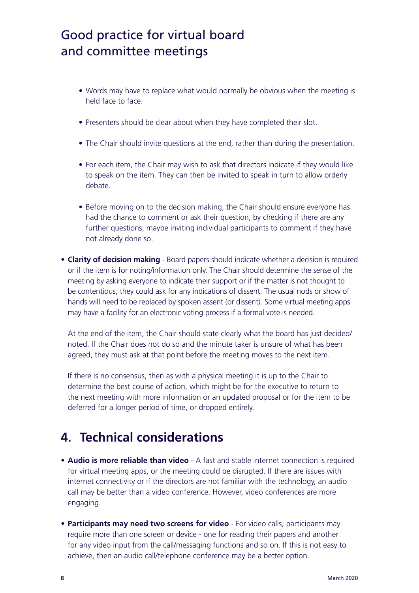- Words may have to replace what would normally be obvious when the meeting is held face to face.
- Presenters should be clear about when they have completed their slot.
- The Chair should invite questions at the end, rather than during the presentation.
- For each item, the Chair may wish to ask that directors indicate if they would like to speak on the item. They can then be invited to speak in turn to allow orderly debate.
- Before moving on to the decision making, the Chair should ensure everyone has had the chance to comment or ask their question, by checking if there are any further questions, maybe inviting individual participants to comment if they have not already done so.
- **• Clarity of decision making** Board papers should indicate whether a decision is required or if the item is for noting/information only. The Chair should determine the sense of the meeting by asking everyone to indicate their support or if the matter is not thought to be contentious, they could ask for any indications of dissent. The usual nods or show of hands will need to be replaced by spoken assent (or dissent). Some virtual meeting apps may have a facility for an electronic voting process if a formal vote is needed.

At the end of the item, the Chair should state clearly what the board has just decided/ noted. If the Chair does not do so and the minute taker is unsure of what has been agreed, they must ask at that point before the meeting moves to the next item.

If there is no consensus, then as with a physical meeting it is up to the Chair to determine the best course of action, which might be for the executive to return to the next meeting with more information or an updated proposal or for the item to be deferred for a longer period of time, or dropped entirely.

### **4. Technical considerations**

- **• Audio is more reliable than video** A fast and stable internet connection is required for virtual meeting apps, or the meeting could be disrupted. If there are issues with internet connectivity or if the directors are not familiar with the technology, an audio call may be better than a video conference. However, video conferences are more engaging.
- **• Participants may need two screens for video** For video calls, participants may require more than one screen or device - one for reading their papers and another for any video input from the call/messaging functions and so on. If this is not easy to achieve, then an audio call/telephone conference may be a better option.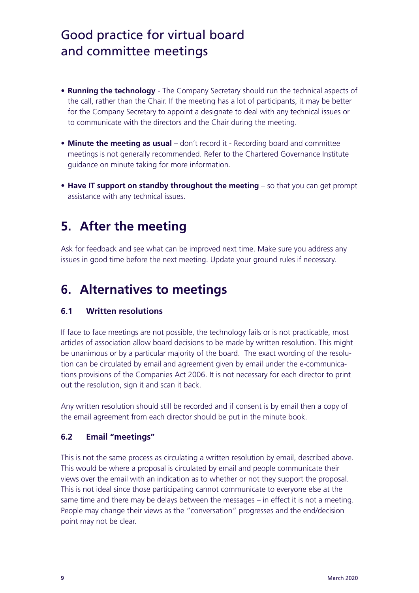- **• Running the technology** The Company Secretary should run the technical aspects of the call, rather than the Chair. If the meeting has a lot of participants, it may be better for the Company Secretary to appoint a designate to deal with any technical issues or to communicate with the directors and the Chair during the meeting.
- **• Minute the meeting as usual** don't record it Recording board and committee meetings is not generally recommended. Refer to the Chartered Governance Institute guidance on minute taking for more information.
- **• Have IT support on standby throughout the meeting** so that you can get prompt assistance with any technical issues.

### **5. After the meeting**

Ask for feedback and see what can be improved next time. Make sure you address any issues in good time before the next meeting. Update your ground rules if necessary.

### **6. Alternatives to meetings**

#### **6.1 Written resolutions**

If face to face meetings are not possible, the technology fails or is not practicable, most articles of association allow board decisions to be made by written resolution. This might be unanimous or by a particular majority of the board. The exact wording of the resolution can be circulated by email and agreement given by email under the e-communications provisions of the Companies Act 2006. It is not necessary for each director to print out the resolution, sign it and scan it back.

Any written resolution should still be recorded and if consent is by email then a copy of the email agreement from each director should be put in the minute book.

### **6.2 Email "meetings"**

This is not the same process as circulating a written resolution by email, described above. This would be where a proposal is circulated by email and people communicate their views over the email with an indication as to whether or not they support the proposal. This is not ideal since those participating cannot communicate to everyone else at the same time and there may be delays between the messages – in effect it is not a meeting. People may change their views as the "conversation" progresses and the end/decision point may not be clear.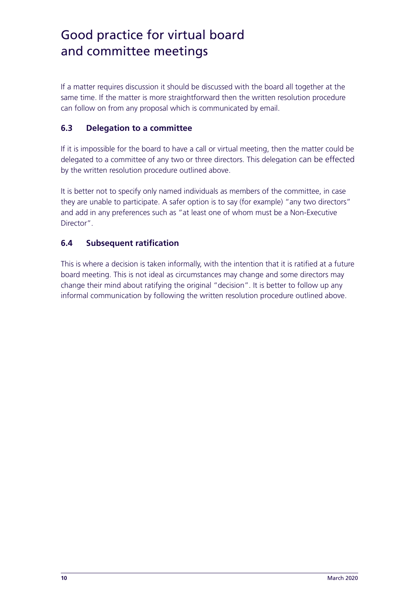If a matter requires discussion it should be discussed with the board all together at the same time. If the matter is more straightforward then the written resolution procedure can follow on from any proposal which is communicated by email.

#### **6.3 Delegation to a committee**

If it is impossible for the board to have a call or virtual meeting, then the matter could be delegated to a committee of any two or three directors. This delegation can be effected by the written resolution procedure outlined above.

It is better not to specify only named individuals as members of the committee, in case they are unable to participate. A safer option is to say (for example) "any two directors" and add in any preferences such as "at least one of whom must be a Non-Executive Director".

#### **6.4 Subsequent ratification**

This is where a decision is taken informally, with the intention that it is ratified at a future board meeting. This is not ideal as circumstances may change and some directors may change their mind about ratifying the original "decision". It is better to follow up any informal communication by following the written resolution procedure outlined above.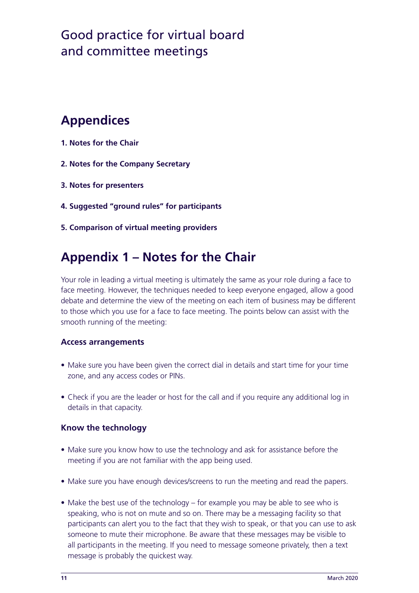### **Appendices**

- **1. Notes for the Chair**
- **2. Notes for the Company Secretary**
- **3. Notes for presenters**
- **4. Suggested "ground rules" for participants**
- **5. Comparison of virtual meeting providers**

### **Appendix 1 – Notes for the Chair**

Your role in leading a virtual meeting is ultimately the same as your role during a face to face meeting. However, the techniques needed to keep everyone engaged, allow a good debate and determine the view of the meeting on each item of business may be different to those which you use for a face to face meeting. The points below can assist with the smooth running of the meeting:

#### **Access arrangements**

- Make sure you have been given the correct dial in details and start time for your time zone, and any access codes or PINs.
- Check if you are the leader or host for the call and if you require any additional log in details in that capacity.

#### **Know the technology**

- Make sure you know how to use the technology and ask for assistance before the meeting if you are not familiar with the app being used.
- Make sure you have enough devices/screens to run the meeting and read the papers.
- Make the best use of the technology for example you may be able to see who is speaking, who is not on mute and so on. There may be a messaging facility so that participants can alert you to the fact that they wish to speak, or that you can use to ask someone to mute their microphone. Be aware that these messages may be visible to all participants in the meeting. If you need to message someone privately, then a text message is probably the quickest way.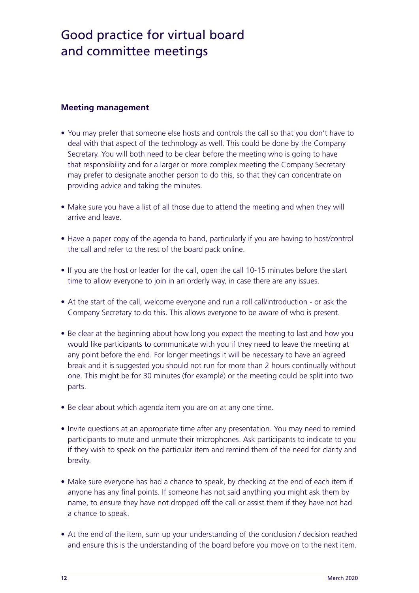#### **Meeting management**

- You may prefer that someone else hosts and controls the call so that you don't have to deal with that aspect of the technology as well. This could be done by the Company Secretary. You will both need to be clear before the meeting who is going to have that responsibility and for a larger or more complex meeting the Company Secretary may prefer to designate another person to do this, so that they can concentrate on providing advice and taking the minutes.
- Make sure you have a list of all those due to attend the meeting and when they will arrive and leave.
- Have a paper copy of the agenda to hand, particularly if you are having to host/control the call and refer to the rest of the board pack online.
- If you are the host or leader for the call, open the call 10-15 minutes before the start time to allow everyone to join in an orderly way, in case there are any issues.
- At the start of the call, welcome everyone and run a roll call/introduction or ask the Company Secretary to do this. This allows everyone to be aware of who is present.
- Be clear at the beginning about how long you expect the meeting to last and how you would like participants to communicate with you if they need to leave the meeting at any point before the end. For longer meetings it will be necessary to have an agreed break and it is suggested you should not run for more than 2 hours continually without one. This might be for 30 minutes (for example) or the meeting could be split into two parts.
- Be clear about which agenda item you are on at any one time.
- Invite questions at an appropriate time after any presentation. You may need to remind participants to mute and unmute their microphones. Ask participants to indicate to you if they wish to speak on the particular item and remind them of the need for clarity and brevity.
- Make sure everyone has had a chance to speak, by checking at the end of each item if anyone has any final points. If someone has not said anything you might ask them by name, to ensure they have not dropped off the call or assist them if they have not had a chance to speak.
- At the end of the item, sum up your understanding of the conclusion / decision reached and ensure this is the understanding of the board before you move on to the next item.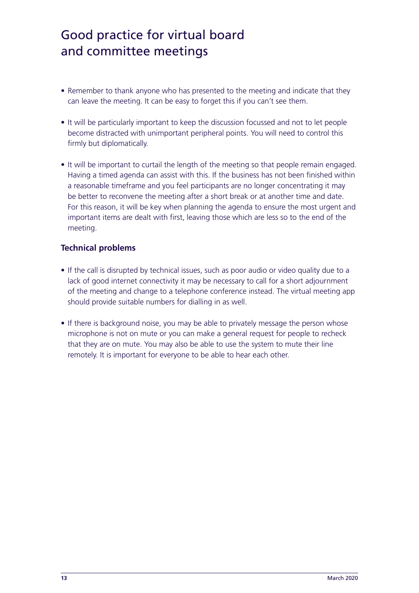- Remember to thank anyone who has presented to the meeting and indicate that they can leave the meeting. It can be easy to forget this if you can't see them.
- It will be particularly important to keep the discussion focussed and not to let people become distracted with unimportant peripheral points. You will need to control this firmly but diplomatically.
- It will be important to curtail the length of the meeting so that people remain engaged. Having a timed agenda can assist with this. If the business has not been finished within a reasonable timeframe and you feel participants are no longer concentrating it may be better to reconvene the meeting after a short break or at another time and date. For this reason, it will be key when planning the agenda to ensure the most urgent and important items are dealt with first, leaving those which are less so to the end of the meeting.

#### **Technical problems**

- If the call is disrupted by technical issues, such as poor audio or video quality due to a lack of good internet connectivity it may be necessary to call for a short adjournment of the meeting and change to a telephone conference instead. The virtual meeting app should provide suitable numbers for dialling in as well.
- If there is background noise, you may be able to privately message the person whose microphone is not on mute or you can make a general request for people to recheck that they are on mute. You may also be able to use the system to mute their line remotely. It is important for everyone to be able to hear each other.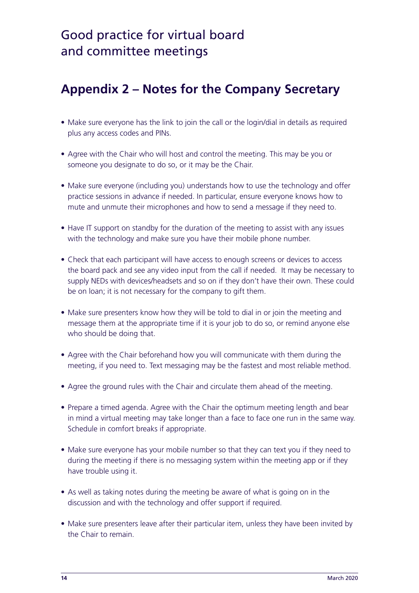### **Appendix 2 – Notes for the Company Secretary**

- Make sure everyone has the link to join the call or the login/dial in details as required plus any access codes and PINs.
- Agree with the Chair who will host and control the meeting. This may be you or someone you designate to do so, or it may be the Chair.
- Make sure everyone (including you) understands how to use the technology and offer practice sessions in advance if needed. In particular, ensure everyone knows how to mute and unmute their microphones and how to send a message if they need to.
- Have IT support on standby for the duration of the meeting to assist with any issues with the technology and make sure you have their mobile phone number.
- Check that each participant will have access to enough screens or devices to access the board pack and see any video input from the call if needed. It may be necessary to supply NEDs with devices/headsets and so on if they don't have their own. These could be on loan; it is not necessary for the company to gift them.
- Make sure presenters know how they will be told to dial in or join the meeting and message them at the appropriate time if it is your job to do so, or remind anyone else who should be doing that.
- Agree with the Chair beforehand how you will communicate with them during the meeting, if you need to. Text messaging may be the fastest and most reliable method.
- Agree the ground rules with the Chair and circulate them ahead of the meeting.
- Prepare a timed agenda. Agree with the Chair the optimum meeting length and bear in mind a virtual meeting may take longer than a face to face one run in the same way. Schedule in comfort breaks if appropriate.
- Make sure everyone has your mobile number so that they can text you if they need to during the meeting if there is no messaging system within the meeting app or if they have trouble using it.
- As well as taking notes during the meeting be aware of what is going on in the discussion and with the technology and offer support if required.
- Make sure presenters leave after their particular item, unless they have been invited by the Chair to remain.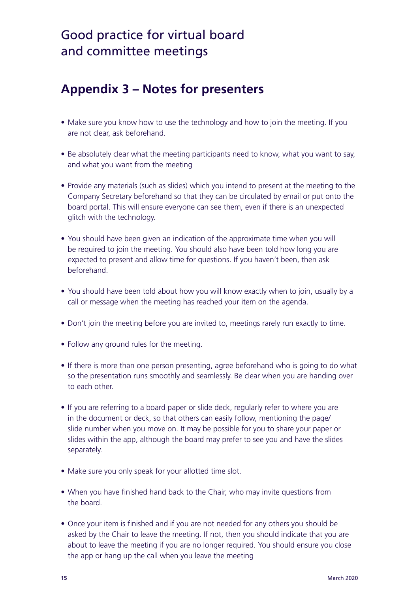### **Appendix 3 – Notes for presenters**

- Make sure you know how to use the technology and how to join the meeting. If you are not clear, ask beforehand.
- Be absolutely clear what the meeting participants need to know, what you want to say, and what you want from the meeting
- Provide any materials (such as slides) which you intend to present at the meeting to the Company Secretary beforehand so that they can be circulated by email or put onto the board portal. This will ensure everyone can see them, even if there is an unexpected glitch with the technology.
- You should have been given an indication of the approximate time when you will be required to join the meeting. You should also have been told how long you are expected to present and allow time for questions. If you haven't been, then ask beforehand.
- You should have been told about how you will know exactly when to join, usually by a call or message when the meeting has reached your item on the agenda.
- Don't join the meeting before you are invited to, meetings rarely run exactly to time.
- Follow any ground rules for the meeting.
- If there is more than one person presenting, agree beforehand who is going to do what so the presentation runs smoothly and seamlessly. Be clear when you are handing over to each other.
- If you are referring to a board paper or slide deck, regularly refer to where you are in the document or deck, so that others can easily follow, mentioning the page/ slide number when you move on. It may be possible for you to share your paper or slides within the app, although the board may prefer to see you and have the slides separately.
- Make sure you only speak for your allotted time slot.
- When you have finished hand back to the Chair, who may invite questions from the board.
- Once your item is finished and if you are not needed for any others you should be asked by the Chair to leave the meeting. If not, then you should indicate that you are about to leave the meeting if you are no longer required. You should ensure you close the app or hang up the call when you leave the meeting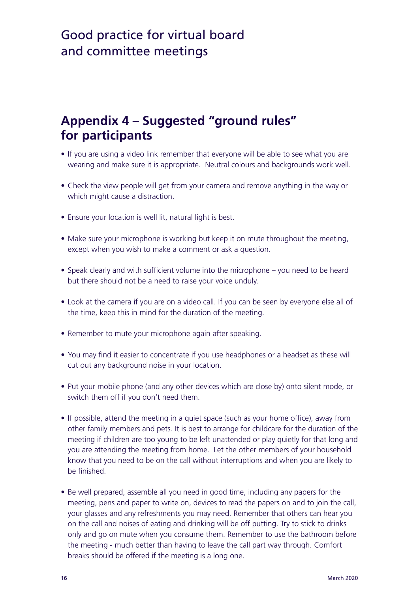### **Appendix 4 – Suggested "ground rules" for participants**

- If you are using a video link remember that everyone will be able to see what you are wearing and make sure it is appropriate. Neutral colours and backgrounds work well.
- Check the view people will get from your camera and remove anything in the way or which might cause a distraction.
- Ensure your location is well lit, natural light is best.
- Make sure your microphone is working but keep it on mute throughout the meeting, except when you wish to make a comment or ask a question.
- Speak clearly and with sufficient volume into the microphone you need to be heard but there should not be a need to raise your voice unduly.
- Look at the camera if you are on a video call. If you can be seen by everyone else all of the time, keep this in mind for the duration of the meeting.
- Remember to mute your microphone again after speaking.
- You may find it easier to concentrate if you use headphones or a headset as these will cut out any background noise in your location.
- Put your mobile phone (and any other devices which are close by) onto silent mode, or switch them off if you don't need them.
- If possible, attend the meeting in a quiet space (such as your home office), away from other family members and pets. It is best to arrange for childcare for the duration of the meeting if children are too young to be left unattended or play quietly for that long and you are attending the meeting from home. Let the other members of your household know that you need to be on the call without interruptions and when you are likely to be finished.
- Be well prepared, assemble all you need in good time, including any papers for the meeting, pens and paper to write on, devices to read the papers on and to join the call, your glasses and any refreshments you may need. Remember that others can hear you on the call and noises of eating and drinking will be off putting. Try to stick to drinks only and go on mute when you consume them. Remember to use the bathroom before the meeting - much better than having to leave the call part way through. Comfort breaks should be offered if the meeting is a long one.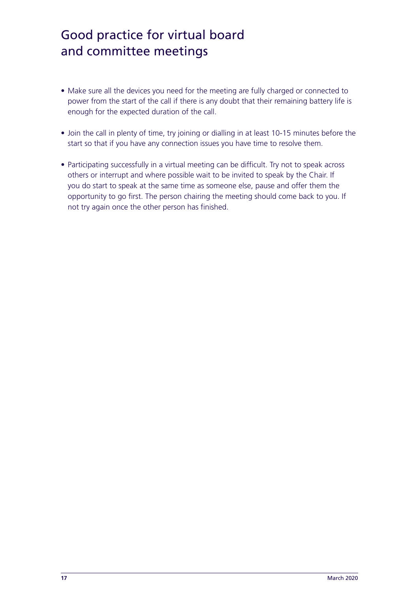- Make sure all the devices you need for the meeting are fully charged or connected to power from the start of the call if there is any doubt that their remaining battery life is enough for the expected duration of the call.
- Join the call in plenty of time, try joining or dialling in at least 10-15 minutes before the start so that if you have any connection issues you have time to resolve them.
- Participating successfully in a virtual meeting can be difficult. Try not to speak across others or interrupt and where possible wait to be invited to speak by the Chair. If you do start to speak at the same time as someone else, pause and offer them the opportunity to go first. The person chairing the meeting should come back to you. If not try again once the other person has finished.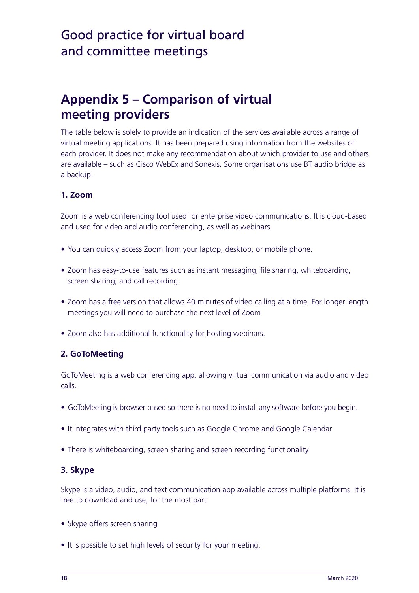### **Appendix 5 – Comparison of virtual meeting providers**

The table below is solely to provide an indication of the services available across a range of virtual meeting applications. It has been prepared using information from the websites of each provider. It does not make any recommendation about which provider to use and others are available – such as Cisco WebEx and Sonexis. Some organisations use BT audio bridge as a backup.

#### **1. Zoom**

Zoom is a web conferencing tool used for enterprise video communications. It is cloud-based and used for video and audio conferencing, as well as webinars.

- You can quickly access Zoom from your laptop, desktop, or mobile phone.
- Zoom has easy-to-use features such as instant messaging, file sharing, whiteboarding, screen sharing, and call recording.
- Zoom has a free version that allows 40 minutes of video calling at a time. For longer length meetings you will need to purchase the next level of Zoom
- Zoom also has additional functionality for hosting webinars.

#### **2. GoToMeeting**

GoToMeeting is a web conferencing app, allowing virtual communication via audio and video calls.

- GoToMeeting is browser based so there is no need to install any software before you begin.
- It integrates with third party tools such as Google Chrome and Google Calendar
- There is whiteboarding, screen sharing and screen recording functionality

#### **3. Skype**

Skype is a video, audio, and text communication app available across multiple platforms. It is free to download and use, for the most part.

- Skype offers screen sharing
- It is possible to set high levels of security for your meeting.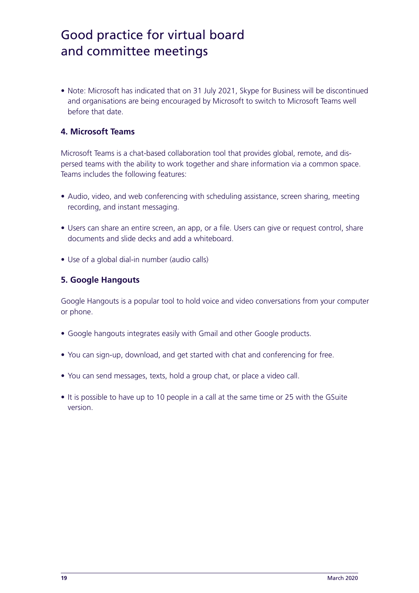• Note: Microsoft has indicated that on 31 July 2021, Skype for Business will be discontinued and organisations are being encouraged by Microsoft to switch to Microsoft Teams well before that date.

#### **4. Microsoft Teams**

Microsoft Teams is a chat-based collaboration tool that provides global, remote, and dispersed teams with the ability to work together and share information via a common space. Teams includes the following features:

- Audio, video, and web conferencing with scheduling assistance, screen sharing, meeting recording, and instant messaging.
- Users can share an entire screen, an app, or a file. Users can give or request control, share documents and slide decks and add a whiteboard.
- Use of a global dial-in number (audio calls)

#### **5. Google Hangouts**

Google Hangouts is a popular tool to hold voice and video conversations from your computer or phone.

- Google hangouts integrates easily with Gmail and other Google products.
- You can sign-up, download, and get started with chat and conferencing for free.
- You can send messages, texts, hold a group chat, or place a video call.
- It is possible to have up to 10 people in a call at the same time or 25 with the GSuite version.